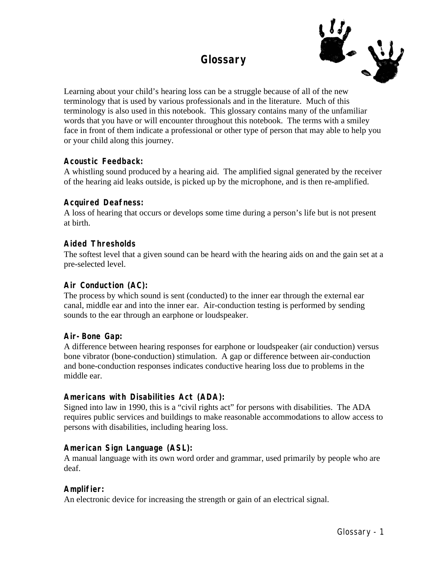# **Glossary**



Learning about your child's hearing loss can be a struggle because of all of the new terminology that is used by various professionals and in the literature. Much of this terminology is also used in this notebook. This glossary contains many of the unfamiliar words that you have or will encounter throughout this notebook. The terms with a smiley face in front of them indicate a professional or other type of person that may able to help you or your child along this journey.

# **Acoustic Feedback:**

A whistling sound produced by a hearing aid. The amplified signal generated by the receiver of the hearing aid leaks outside, is picked up by the microphone, and is then re-amplified.

# **Acquired Deafness:**

A loss of hearing that occurs or develops some time during a person's life but is not present at birth.

# **Aided Thresholds**

The softest level that a given sound can be heard with the hearing aids on and the gain set at a pre-selected level.

# **Air Conduction (AC):**

The process by which sound is sent (conducted) to the inner ear through the external ear canal, middle ear and into the inner ear. Air-conduction testing is performed by sending sounds to the ear through an earphone or loudspeaker.

# **Air-Bone Gap:**

A difference between hearing responses for earphone or loudspeaker (air conduction) versus bone vibrator (bone-conduction) stimulation. A gap or difference between air-conduction and bone-conduction responses indicates conductive hearing loss due to problems in the middle ear.

# **Americans with Disabilities Act (ADA):**

Signed into law in 1990, this is a "civil rights act" for persons with disabilities. The ADA requires public services and buildings to make reasonable accommodations to allow access to persons with disabilities, including hearing loss.

# **American Sign Language (ASL):**

A manual language with its own word order and grammar, used primarily by people who are deaf.

# **Amplifier:**

An electronic device for increasing the strength or gain of an electrical signal.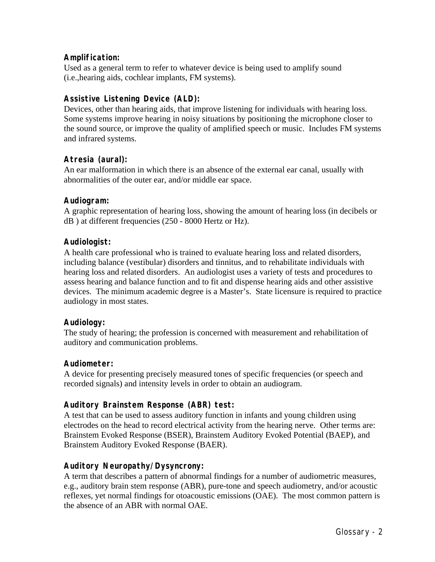# **Amplification:**

Used as a general term to refer to whatever device is being used to amplify sound (i.e.,hearing aids, cochlear implants, FM systems).

# **Assistive Listening Device (ALD):**

Devices, other than hearing aids, that improve listening for individuals with hearing loss. Some systems improve hearing in noisy situations by positioning the microphone closer to the sound source, or improve the quality of amplified speech or music. Includes FM systems and infrared systems.

# **Atresia (aural):**

An ear malformation in which there is an absence of the external ear canal, usually with abnormalities of the outer ear, and/or middle ear space.

### **Audiogram:**

A graphic representation of hearing loss, showing the amount of hearing loss (in decibels or dB ) at different frequencies (250 - 8000 Hertz or Hz).

### **Audiologist:**

A health care professional who is trained to evaluate hearing loss and related disorders, including balance (vestibular) disorders and tinnitus, and to rehabilitate individuals with hearing loss and related disorders. An audiologist uses a variety of tests and procedures to assess hearing and balance function and to fit and dispense hearing aids and other assistive devices. The minimum academic degree is a Master's. State licensure is required to practice audiology in most states.

#### **Audiology:**

The study of hearing; the profession is concerned with measurement and rehabilitation of auditory and communication problems.

#### **Audiometer:**

A device for presenting precisely measured tones of specific frequencies (or speech and recorded signals) and intensity levels in order to obtain an audiogram.

# **Auditory Brainstem Response (ABR) test:**

A test that can be used to assess auditory function in infants and young children using electrodes on the head to record electrical activity from the hearing nerve. Other terms are: Brainstem Evoked Response (BSER), Brainstem Auditory Evoked Potential (BAEP), and Brainstem Auditory Evoked Response (BAER).

# **Auditory Neuropathy/Dysyncrony:**

A term that describes a pattern of abnormal findings for a number of audiometric measures, e.g., auditory brain stem response (ABR), pure-tone and speech audiometry, and/or acoustic reflexes, yet normal findings for otoacoustic emissions (OAE). The most common pattern is the absence of an ABR with normal OAE.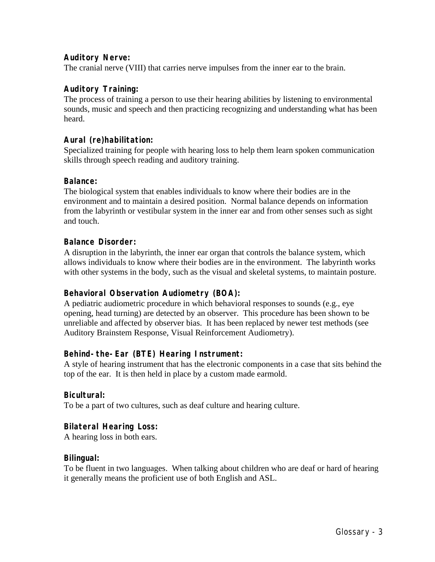# **Auditory Nerve:**

The cranial nerve (VIII) that carries nerve impulses from the inner ear to the brain.

# **Auditory Training:**

The process of training a person to use their hearing abilities by listening to environmental sounds, music and speech and then practicing recognizing and understanding what has been heard.

# **Aural (re)habilitation:**

Specialized training for people with hearing loss to help them learn spoken communication skills through speech reading and auditory training.

### **Balance:**

The biological system that enables individuals to know where their bodies are in the environment and to maintain a desired position. Normal balance depends on information from the labyrinth or vestibular system in the inner ear and from other senses such as sight and touch.

### **Balance Disorder:**

A disruption in the labyrinth, the inner ear organ that controls the balance system, which allows individuals to know where their bodies are in the environment. The labyrinth works with other systems in the body, such as the visual and skeletal systems, to maintain posture.

# **Behavioral Observation Audiometry (BOA):**

A pediatric audiometric procedure in which behavioral responses to sounds (e.g., eye opening, head turning) are detected by an observer. This procedure has been shown to be unreliable and affected by observer bias. It has been replaced by newer test methods (see Auditory Brainstem Response, Visual Reinforcement Audiometry).

# **Behind-the-Ear (BTE) Hearing Instrument:**

A style of hearing instrument that has the electronic components in a case that sits behind the top of the ear. It is then held in place by a custom made earmold.

# **Bicultural:**

To be a part of two cultures, such as deaf culture and hearing culture.

# **Bilateral Hearing Loss:**

A hearing loss in both ears.

#### **Bilingual:**

To be fluent in two languages. When talking about children who are deaf or hard of hearing it generally means the proficient use of both English and ASL.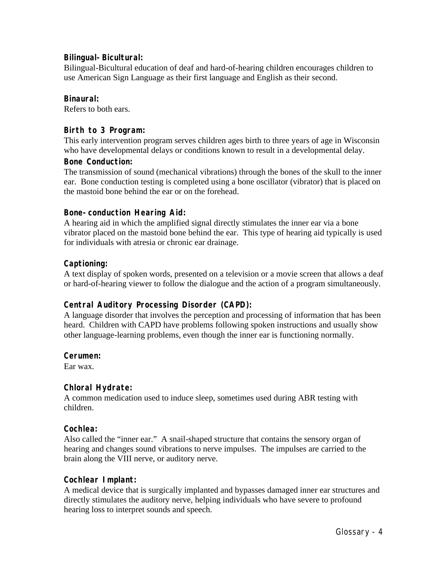# **Bilingual-Bicultural:**

Bilingual-Bicultural education of deaf and hard-of-hearing children encourages children to use American Sign Language as their first language and English as their second.

# **Binaural:**

Refers to both ears.

# **Birth to 3 Program:**

This early intervention program serves children ages birth to three years of age in Wisconsin who have developmental delays or conditions known to result in a developmental delay.

# **Bone Conduction:**

The transmission of sound (mechanical vibrations) through the bones of the skull to the inner ear. Bone conduction testing is completed using a bone oscillator (vibrator) that is placed on the mastoid bone behind the ear or on the forehead.

# **Bone-conduction Hearing Aid:**

A hearing aid in which the amplified signal directly stimulates the inner ear via a bone vibrator placed on the mastoid bone behind the ear. This type of hearing aid typically is used for individuals with atresia or chronic ear drainage.

# **Captioning:**

A text display of spoken words, presented on a television or a movie screen that allows a deaf or hard-of-hearing viewer to follow the dialogue and the action of a program simultaneously.

# **Central Auditory Processing Disorder (CAPD):**

A language disorder that involves the perception and processing of information that has been heard. Children with CAPD have problems following spoken instructions and usually show other language-learning problems, even though the inner ear is functioning normally.

# **Cerumen:**

Ear wax.

# **Chloral Hydrate:**

A common medication used to induce sleep, sometimes used during ABR testing with children.

# **Cochlea:**

Also called the "inner ear." A snail-shaped structure that contains the sensory organ of hearing and changes sound vibrations to nerve impulses. The impulses are carried to the brain along the VIII nerve, or auditory nerve.

# **Cochlear Implant:**

A medical device that is surgically implanted and bypasses damaged inner ear structures and directly stimulates the auditory nerve, helping individuals who have severe to profound hearing loss to interpret sounds and speech.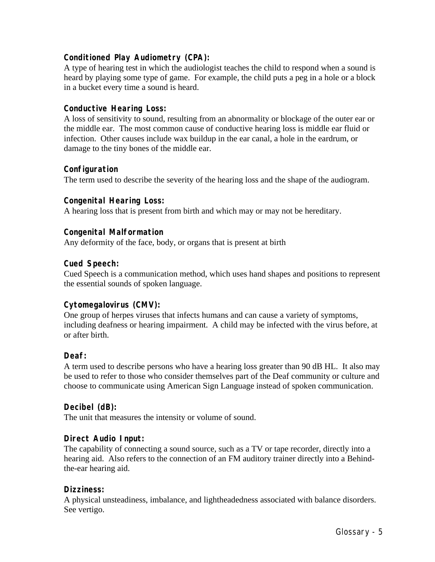# **Conditioned Play Audiometry (CPA):**

A type of hearing test in which the audiologist teaches the child to respond when a sound is heard by playing some type of game. For example, the child puts a peg in a hole or a block in a bucket every time a sound is heard.

# **Conductive Hearing Loss:**

A loss of sensitivity to sound, resulting from an abnormality or blockage of the outer ear or the middle ear. The most common cause of conductive hearing loss is middle ear fluid or infection. Other causes include wax buildup in the ear canal, a hole in the eardrum, or damage to the tiny bones of the middle ear.

### **Configuration**

The term used to describe the severity of the hearing loss and the shape of the audiogram.

### **Congenital Hearing Loss:**

A hearing loss that is present from birth and which may or may not be hereditary.

### **Congenital Malformation**

Any deformity of the face, body, or organs that is present at birth

### **Cued Speech:**

Cued Speech is a communication method, which uses hand shapes and positions to represent the essential sounds of spoken language.

#### **Cytomegalovirus (CMV):**

One group of herpes viruses that infects humans and can cause a variety of symptoms, including deafness or hearing impairment. A child may be infected with the virus before, at or after birth.

# **Deaf:**

A term used to describe persons who have a hearing loss greater than 90 dB HL. It also may be used to refer to those who consider themselves part of the Deaf community or culture and choose to communicate using American Sign Language instead of spoken communication.

#### **Decibel (dB):**

The unit that measures the intensity or volume of sound.

#### **Direct Audio Input:**

The capability of connecting a sound source, such as a TV or tape recorder, directly into a hearing aid. Also refers to the connection of an FM auditory trainer directly into a Behindthe-ear hearing aid.

#### **Dizziness:**

A physical unsteadiness, imbalance, and lightheadedness associated with balance disorders. See vertigo.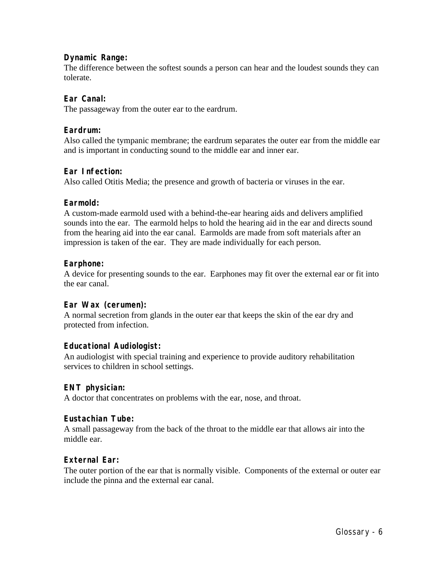### **Dynamic Range:**

The difference between the softest sounds a person can hear and the loudest sounds they can tolerate.

### **Ear Canal:**

The passageway from the outer ear to the eardrum.

#### **Eardrum:**

Also called the tympanic membrane; the eardrum separates the outer ear from the middle ear and is important in conducting sound to the middle ear and inner ear.

### **Ear Infection:**

Also called Otitis Media; the presence and growth of bacteria or viruses in the ear.

#### **Earmold:**

A custom-made earmold used with a behind-the-ear hearing aids and delivers amplified sounds into the ear. The earmold helps to hold the hearing aid in the ear and directs sound from the hearing aid into the ear canal. Earmolds are made from soft materials after an impression is taken of the ear. They are made individually for each person.

#### **Earphone:**

A device for presenting sounds to the ear. Earphones may fit over the external ear or fit into the ear canal.

#### **Ear Wax (cerumen):**

A normal secretion from glands in the outer ear that keeps the skin of the ear dry and protected from infection.

#### **Educational Audiologist:**

An audiologist with special training and experience to provide auditory rehabilitation services to children in school settings.

#### **ENT physician:**

A doctor that concentrates on problems with the ear, nose, and throat.

#### **Eustachian Tube:**

A small passageway from the back of the throat to the middle ear that allows air into the middle ear.

#### **External Ear:**

The outer portion of the ear that is normally visible. Components of the external or outer ear include the pinna and the external ear canal.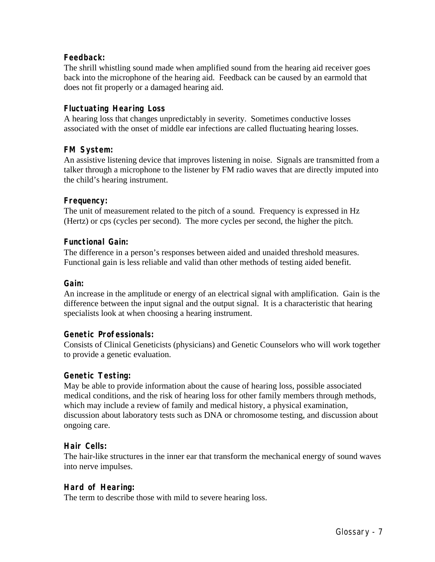# **Feedback:**

The shrill whistling sound made when amplified sound from the hearing aid receiver goes back into the microphone of the hearing aid. Feedback can be caused by an earmold that does not fit properly or a damaged hearing aid.

# **Fluctuating Hearing Loss**

A hearing loss that changes unpredictably in severity. Sometimes conductive losses associated with the onset of middle ear infections are called fluctuating hearing losses.

# **FM System:**

An assistive listening device that improves listening in noise. Signals are transmitted from a talker through a microphone to the listener by FM radio waves that are directly imputed into the child's hearing instrument.

# **Frequency:**

The unit of measurement related to the pitch of a sound. Frequency is expressed in Hz (Hertz) or cps (cycles per second). The more cycles per second, the higher the pitch.

# **Functional Gain:**

The difference in a person's responses between aided and unaided threshold measures. Functional gain is less reliable and valid than other methods of testing aided benefit.

#### **Gain:**

An increase in the amplitude or energy of an electrical signal with amplification. Gain is the difference between the input signal and the output signal. It is a characteristic that hearing specialists look at when choosing a hearing instrument.

#### **Genetic Professionals:**

Consists of Clinical Geneticists (physicians) and Genetic Counselors who will work together to provide a genetic evaluation.

#### **Genetic Testing:**

May be able to provide information about the cause of hearing loss, possible associated medical conditions, and the risk of hearing loss for other family members through methods, which may include a review of family and medical history, a physical examination, discussion about laboratory tests such as DNA or chromosome testing, and discussion about ongoing care.

#### **Hair Cells:**

The hair-like structures in the inner ear that transform the mechanical energy of sound waves into nerve impulses.

# **Hard of Hearing:**

The term to describe those with mild to severe hearing loss.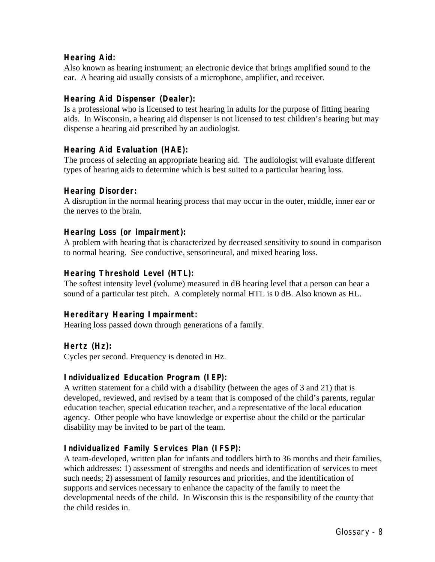# **Hearing Aid:**

Also known as hearing instrument; an electronic device that brings amplified sound to the ear. A hearing aid usually consists of a microphone, amplifier, and receiver.

# **Hearing Aid Dispenser (Dealer):**

Is a professional who is licensed to test hearing in adults for the purpose of fitting hearing aids. In Wisconsin, a hearing aid dispenser is not licensed to test children's hearing but may dispense a hearing aid prescribed by an audiologist.

# **Hearing Aid Evaluation (HAE):**

The process of selecting an appropriate hearing aid. The audiologist will evaluate different types of hearing aids to determine which is best suited to a particular hearing loss.

# **Hearing Disorder:**

A disruption in the normal hearing process that may occur in the outer, middle, inner ear or the nerves to the brain.

# **Hearing Loss (or impairment):**

A problem with hearing that is characterized by decreased sensitivity to sound in comparison to normal hearing. See conductive, sensorineural, and mixed hearing loss.

# **Hearing Threshold Level (HTL):**

The softest intensity level (volume) measured in dB hearing level that a person can hear a sound of a particular test pitch. A completely normal HTL is 0 dB. Also known as HL.

# **Hereditary Hearing Impairment:**

Hearing loss passed down through generations of a family.

# **Hertz (Hz):**

Cycles per second. Frequency is denoted in Hz.

# **Individualized Education Program (IEP):**

A written statement for a child with a disability (between the ages of 3 and 21) that is developed, reviewed, and revised by a team that is composed of the child's parents, regular education teacher, special education teacher, and a representative of the local education agency. Other people who have knowledge or expertise about the child or the particular disability may be invited to be part of the team.

# **Individualized Family Services Plan (IFSP):**

A team-developed, written plan for infants and toddlers birth to 36 months and their families, which addresses: 1) assessment of strengths and needs and identification of services to meet such needs; 2) assessment of family resources and priorities, and the identification of supports and services necessary to enhance the capacity of the family to meet the developmental needs of the child. In Wisconsin this is the responsibility of the county that the child resides in.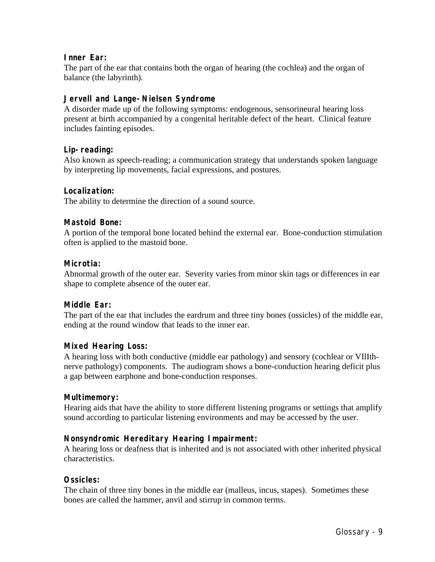# **Inner Ear:**

The part of the ear that contains both the organ of hearing (the cochlea) and the organ of balance (the labyrinth).

# **Jervell and Lange-Nielsen Syndrome**

A disorder made up of the following symptoms: endogenous, sensorineural hearing loss present at birth accompanied by a congenital heritable defect of the heart. Clinical feature includes fainting episodes.

# **Lip-reading:**

Also known as speech-reading; a communication strategy that understands spoken language by interpreting lip movements, facial expressions, and postures.

# **Localization:**

The ability to determine the direction of a sound source.

# **Mastoid Bone:**

A portion of the temporal bone located behind the external ear. Bone-conduction stimulation often is applied to the mastoid bone.

# **Microtia:**

Abnormal growth of the outer ear. Severity varies from minor skin tags or differences in ear shape to complete absence of the outer ear.

# **Middle Ear:**

The part of the ear that includes the eardrum and three tiny bones (ossicles) of the middle ear, ending at the round window that leads to the inner ear.

# **Mixed Hearing Loss:**

A hearing loss with both conductive (middle ear pathology) and sensory (cochlear or VIlIthnerve pathology) components. The audiogram shows a bone-conduction hearing deficit plus a gap between earphone and bone-conduction responses.

# **Multimemory:**

Hearing aids that have the ability to store different listening programs or settings that amplify sound according to particular listening environments and may be accessed by the user.

# **Nonsyndromic Hereditary Hearing Impairment:**

A hearing loss or deafness that is inherited and is not associated with other inherited physical characteristics.

# **Ossicles:**

The chain of three tiny bones in the middle ear (malleus, incus, stapes). Sometimes these bones are called the hammer, anvil and stirrup in common terms.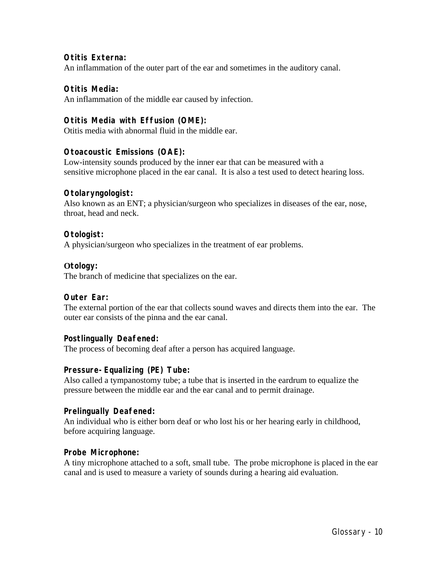# **Otitis Externa:**

An inflammation of the outer part of the ear and sometimes in the auditory canal.

# **Otitis Media:**

An inflammation of the middle ear caused by infection.

# **Otitis Media with Effusion (OME):**

Otitis media with abnormal fluid in the middle ear.

# **Otoacoustic Emissions (OAE):**

Low-intensity sounds produced by the inner ear that can be measured with a sensitive microphone placed in the ear canal. It is also a test used to detect hearing loss.

# **Otolaryngologist:**

Also known as an ENT; a physician/surgeon who specializes in diseases of the ear, nose, throat, head and neck.

### **Otologist:**

A physician/surgeon who specializes in the treatment of ear problems.

### **Otology:**

The branch of medicine that specializes on the ear.

# **Outer Ear:**

The external portion of the ear that collects sound waves and directs them into the ear. The outer ear consists of the pinna and the ear canal.

# **Postlingually Deafened:**

The process of becoming deaf after a person has acquired language.

# **Pressure-Equalizing (PE) Tube:**

Also called a tympanostomy tube; a tube that is inserted in the eardrum to equalize the pressure between the middle ear and the ear canal and to permit drainage.

#### **Prelingually Deafened:**

An individual who is either born deaf or who lost his or her hearing early in childhood, before acquiring language.

# **Probe Microphone:**

A tiny microphone attached to a soft, small tube. The probe microphone is placed in the ear canal and is used to measure a variety of sounds during a hearing aid evaluation.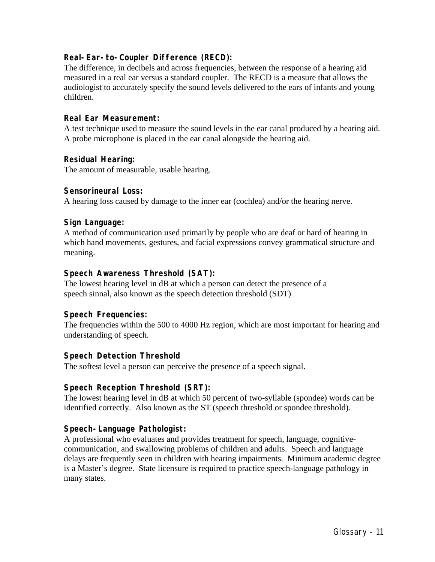# **Real-Ear-to-Coupler Difference (RECD):**

The difference, in decibels and across frequencies, between the response of a hearing aid measured in a real ear versus a standard coupler. The RECD is a measure that allows the audiologist to accurately specify the sound levels delivered to the ears of infants and young children.

# **Real Ear Measurement:**

A test technique used to measure the sound levels in the ear canal produced by a hearing aid. A probe microphone is placed in the ear canal alongside the hearing aid.

### **Residual Hearing:**

The amount of measurable, usable hearing.

### **Sensorineural Loss:**

A hearing loss caused by damage to the inner ear (cochlea) and/or the hearing nerve.

### **Sign Language:**

A method of communication used primarily by people who are deaf or hard of hearing in which hand movements, gestures, and facial expressions convey grammatical structure and meaning.

### **Speech Awareness Threshold (SAT):**

The lowest hearing level in dB at which a person can detect the presence of a speech sinnal, also known as the speech detection threshold (SDT)

#### **Speech Frequencies:**

The frequencies within the 500 to 4000 Hz region, which are most important for hearing and understanding of speech.

# **Speech Detection Threshold**

The softest level a person can perceive the presence of a speech signal.

# **Speech Reception Threshold (SRT):**

The lowest hearing level in dB at which 50 percent of two-syllable (spondee) words can be identified correctly. Also known as the ST (speech threshold or spondee threshold).

# **Speech-Language Pathologist:**

A professional who evaluates and provides treatment for speech, language, cognitivecommunication, and swallowing problems of children and adults. Speech and language delays are frequently seen in children with hearing impairments. Minimum academic degree is a Master's degree. State licensure is required to practice speech-language pathology in many states.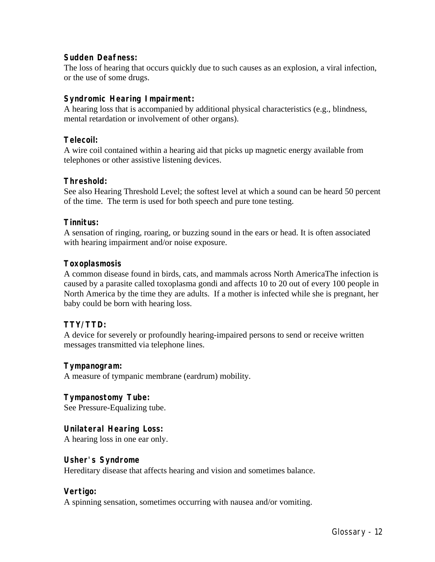# **Sudden Deafness:**

The loss of hearing that occurs quickly due to such causes as an explosion, a viral infection, or the use of some drugs.

# **Syndromic Hearing Impairment:**

A hearing loss that is accompanied by additional physical characteristics (e.g., blindness, mental retardation or involvement of other organs).

# **Telecoil:**

A wire coil contained within a hearing aid that picks up magnetic energy available from telephones or other assistive listening devices.

# **Threshold:**

See also Hearing Threshold Level; the softest level at which a sound can be heard 50 percent of the time. The term is used for both speech and pure tone testing.

### **Tinnitus:**

A sensation of ringing, roaring, or buzzing sound in the ears or head. It is often associated with hearing impairment and/or noise exposure.

### **Toxoplasmosis**

A common disease found in birds, cats, and mammals across North AmericaThe infection is caused by a parasite called toxoplasma gondi and affects 10 to 20 out of every 100 people in North America by the time they are adults. If a mother is infected while she is pregnant, her baby could be born with hearing loss.

# **TTY/TTD:**

A device for severely or profoundly hearing-impaired persons to send or receive written messages transmitted via telephone lines.

# **Tympanogram:**

A measure of tympanic membrane (eardrum) mobility.

# **Tympanostomy Tube:**

See Pressure-Equalizing tube.

# **Unilateral Hearing Loss:**

A hearing loss in one ear only.

#### **Usher's Syndrome**

Hereditary disease that affects hearing and vision and sometimes balance.

# **Vertigo:**

A spinning sensation, sometimes occurring with nausea and/or vomiting.